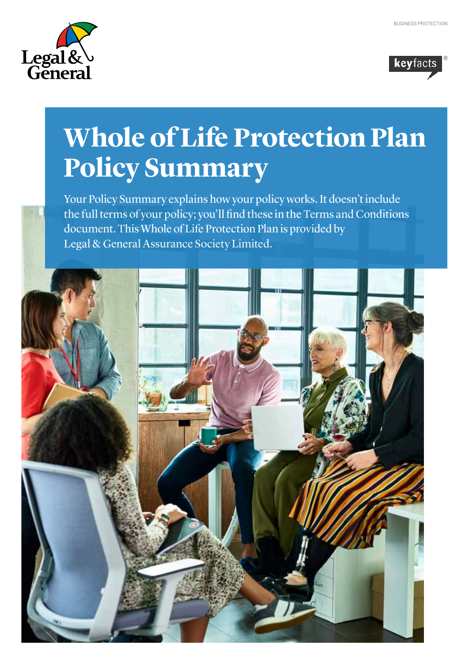



# **Whole of Life Protection Plan Policy Summary**

Your Policy Summary explains how your policy works. It doesn't include the full terms of your policy; you'll find these in the Terms and Conditions document. This Whole of Life Protection Plan is provided by Legal & General Assurance Society Limited.

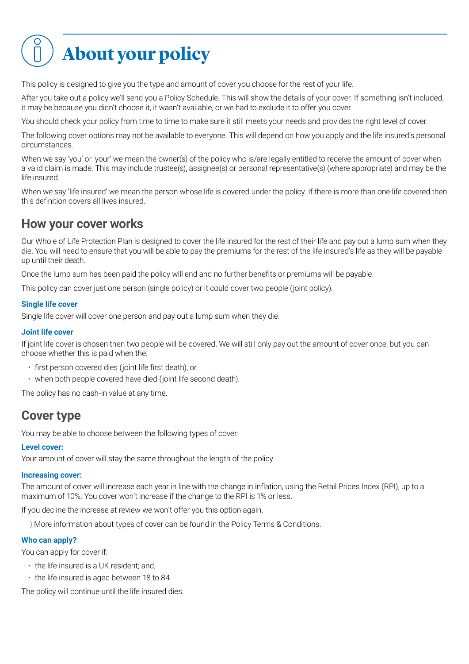

This policy is designed to give you the type and amount of cover you choose for the rest of your life.

After you take out a policy we'll send you a Policy Schedule. This will show the details of your cover. If something isn't included, it may be because you didn't choose it, it wasn't available, or we had to exclude it to offer you cover.

You should check your policy from time to time to make sure it still meets your needs and provides the right level of cover.

The following cover options may not be available to everyone. This will depend on how you apply and the life insured's personal circumstances.

When we say 'you' or 'your' we mean the owner(s) of the policy who is/are legally entitled to receive the amount of cover when a valid claim is made. This may include trustee(s), assignee(s) or personal representative(s) (where appropriate) and may be the life insured.

When we say 'life insured' we mean the person whose life is covered under the policy. If there is more than one life covered then this definition covers all lives insured.

### **How your cover works**

Our Whole of Life Protection Plan is designed to cover the life insured for the rest of their life and pay out a lump sum when they die. You will need to ensure that you will be able to pay the premiums for the rest of the life insured's life as they will be payable up until their death.

Once the lump sum has been paid the policy will end and no further benefits or premiums will be payable.

This policy can cover just one person (single policy) or it could cover two people (joint policy).

#### **Single life cover**

Single life cover will cover one person and pay out a lump sum when they die.

#### **Joint life cover**

If joint life cover is chosen then two people will be covered. We will still only pay out the amount of cover once, but you can choose whether this is paid when the:

- first person covered dies (joint life first death), or
- when both people covered have died (joint life second death).

The policy has no cash-in value at any time.

## **Cover type**

You may be able to choose between the following types of cover:

#### **Level cover:**

Your amount of cover will stay the same throughout the length of the policy.

#### **Increasing cover:**

The amount of cover will increase each year in line with the change in inflation, using the Retail Prices Index (RPI), up to a maximum of 10%. You cover won't increase if the change to the RPI is 1% or less.

If you decline the increase at review we won't offer you this option again.

i) More information about types of cover can be found in the Policy Terms & Conditions.

#### **Who can apply?**

You can apply for cover if:

- the life insured is a UK resident; and,
- the life insured is aged between 18 to 84.

The policy will continue until the life insured dies.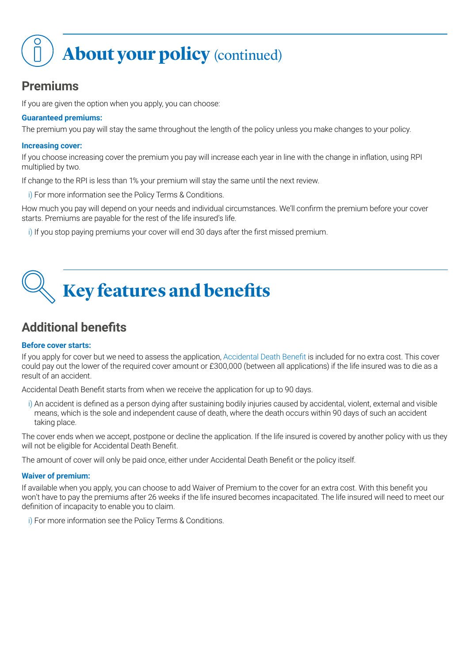# **About your policy (continued)**

## **Premiums**

If you are given the option when you apply, you can choose:

#### **Guaranteed premiums:**

The premium you pay will stay the same throughout the length of the policy unless you make changes to your policy.

#### **Increasing cover:**

If you choose increasing cover the premium you pay will increase each year in line with the change in inflation, using RPI multiplied by two.

If change to the RPI is less than 1% your premium will stay the same until the next review.

i) For more information see the Policy Terms & Conditions.

How much you pay will depend on your needs and individual circumstances. We'll confirm the premium before your cover starts. Premiums are payable for the rest of the life insured's life.

i) If you stop paying premiums your cover will end 30 days after the first missed premium.

## **Key features and benefits**

## **Additional benefits**

#### **Before cover starts:**

If you apply for cover but we need to assess the application, Accidental Death Benefit is included for no extra cost. This cover could pay out the lower of the required cover amount or £300,000 (between all applications) if the life insured was to die as a result of an accident.

Accidental Death Benefit starts from when we receive the application for up to 90 days.

i) An accident is defined as a person dying after sustaining bodily injuries caused by accidental, violent, external and visible means, which is the sole and independent cause of death, where the death occurs within 90 days of such an accident taking place.

The cover ends when we accept, postpone or decline the application. If the life insured is covered by another policy with us they will not be eligible for Accidental Death Benefit.

The amount of cover will only be paid once, either under Accidental Death Benefit or the policy itself.

#### **Waiver of premium:**

If available when you apply, you can choose to add Waiver of Premium to the cover for an extra cost. With this benefit you won't have to pay the premiums after 26 weeks if the life insured becomes incapacitated. The life insured will need to meet our definition of incapacity to enable you to claim.

i) For more information see the Policy Terms & Conditions.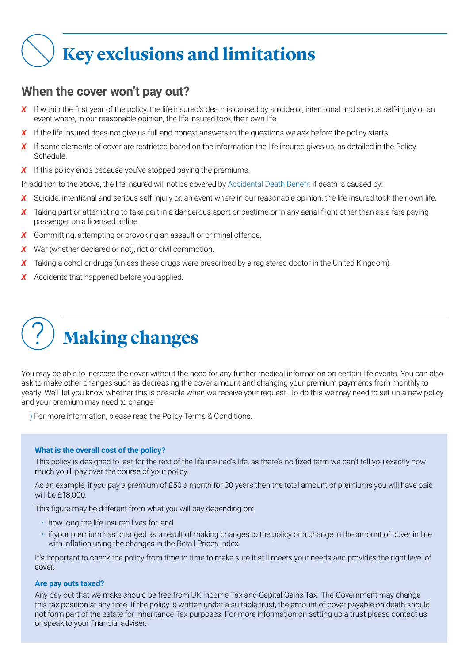## **Key exclusions and limitations**

### **When the cover won't pay out?**

- **X** If within the first year of the policy, the life insured's death is caused by suicide or, intentional and serious self-injury or an event where, in our reasonable opinion, the life insured took their own life.
- X If the life insured does not give us full and honest answers to the questions we ask before the policy starts.
- X If some elements of cover are restricted based on the information the life insured gives us, as detailed in the Policy Schedule.
- X If this policy ends because you've stopped paying the premiums.

In addition to the above, the life insured will not be covered by Accidental Death Benefit if death is caused by:

- X Suicide, intentional and serious self-injury or, an event where in our reasonable opinion, the life insured took their own life.
- *X* Taking part or attempting to take part in a dangerous sport or pastime or in any aerial flight other than as a fare paying passenger on a licensed airline.
- **X** Committing, attempting or provoking an assault or criminal offence.
- *X* War (whether declared or not), riot or civil commotion.
- **X** Taking alcohol or drugs (unless these drugs were prescribed by a registered doctor in the United Kingdom).
- *X* Accidents that happened before you applied.



You may be able to increase the cover without the need for any further medical information on certain life events. You can also ask to make other changes such as decreasing the cover amount and changing your premium payments from monthly to yearly. We'll let you know whether this is possible when we receive your request. To do this we may need to set up a new policy and your premium may need to change.

i) For more information, please read the Policy Terms & Conditions.

#### **What is the overall cost of the policy?**

This policy is designed to last for the rest of the life insured's life, as there's no fixed term we can't tell you exactly how much you'll pay over the course of your policy.

As an example, if you pay a premium of £50 a month for 30 years then the total amount of premiums you will have paid will be £18,000.

This figure may be different from what you will pay depending on:

- how long the life insured lives for, and
- if your premium has changed as a result of making changes to the policy or a change in the amount of cover in line with inflation using the changes in the Retail Prices Index.

It's important to check the policy from time to time to make sure it still meets your needs and provides the right level of cover.

#### **Are pay outs taxed?**

Any pay out that we make should be free from UK Income Tax and Capital Gains Tax. The Government may change this tax position at any time. If the policy is written under a suitable trust, the amount of cover payable on death should not form part of the estate for Inheritance Tax purposes. For more information on setting up a trust please contact us or speak to your financial adviser.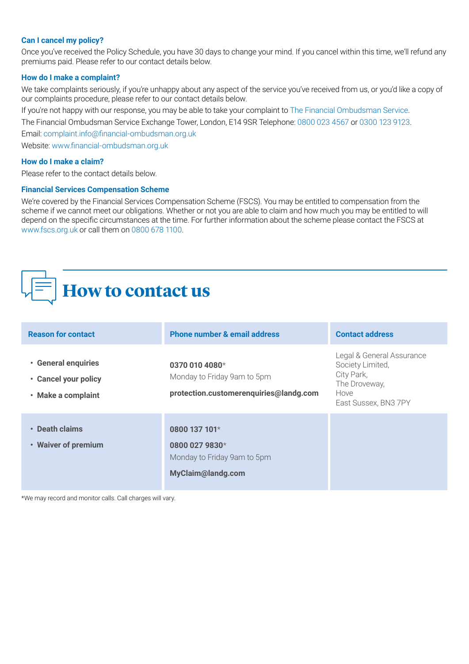#### **Can I cancel my policy?**

Once you've received the Policy Schedule, you have 30 days to change your mind. If you cancel within this time, we'll refund any premiums paid. Please refer to our contact details below.

#### **How do I make a complaint?**

We take complaints seriously, if you're unhappy about any aspect of the service you've received from us, or you'd like a copy of our complaints procedure, please refer to our contact details below.

If you're not happy with our response, you may be able to take your complaint to The Financial Ombudsman Service.

The Financial Ombudsman Service Exchange Tower, London, E14 9SR Telephone: 0800 023 4567 or 0300 123 9123.

Email: complaint.info@financial-ombudsman.org.uk

Website: www.financial-ombudsman.org.uk

#### **How do I make a claim?**

Please refer to the contact details below.

#### **Financial Services Compensation Scheme**

We're covered by the Financial Services Compensation Scheme (FSCS). You may be entitled to compensation from the scheme if we cannot meet our obligations. Whether or not you are able to claim and how much you may be entitled to will depend on the specific circumstances at the time. For further information about the scheme please contact the FSCS at www.fscs.org.uk or call them on 0800 678 1100.



| <b>Reason for contact</b>                                         | <b>Phone number &amp; email address</b>                                                    | <b>Contact address</b>                                                                                       |
|-------------------------------------------------------------------|--------------------------------------------------------------------------------------------|--------------------------------------------------------------------------------------------------------------|
| • General enquiries<br>• Cancel your policy<br>• Make a complaint | 0370 010 4080 $*$<br>Monday to Friday 9am to 5pm<br>protection.customerenquiries@landg.com | Legal & General Assurance<br>Society Limited,<br>City Park,<br>The Droveway,<br>Hove<br>East Sussex, BN3 7PY |
| • Death claims<br>• Waiver of premium                             | 0800 137 101 $*$<br>0800 027 9830*<br>Monday to Friday 9am to 5pm<br>MyClaim@landg.com     |                                                                                                              |

\*We may record and monitor calls. Call charges will vary.